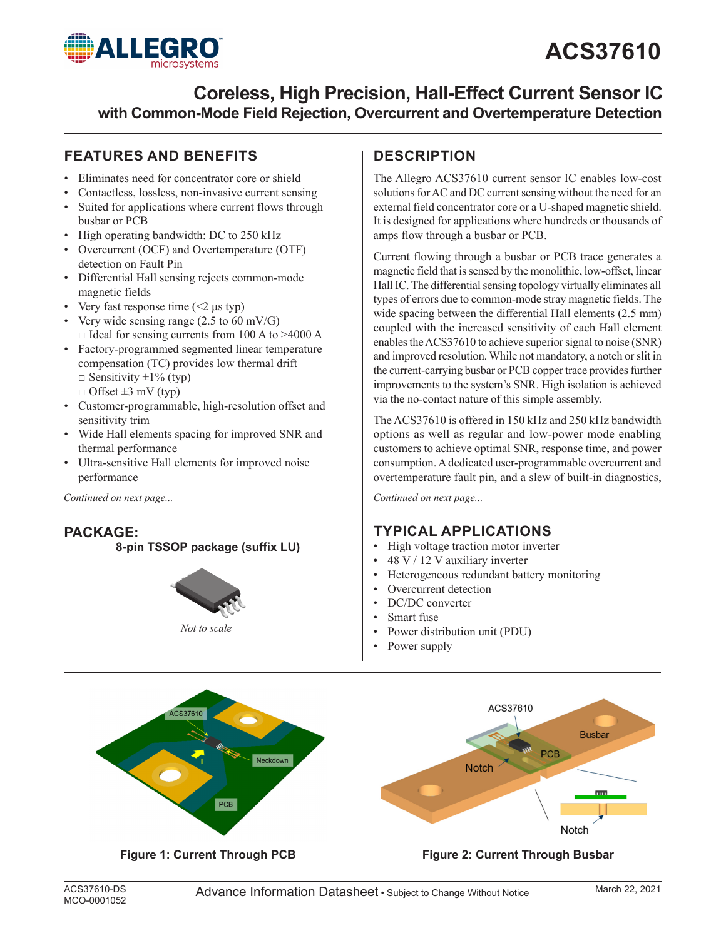

# **ACS37610**

**Coreless, High Precision, Hall-Effect Current Sensor IC with Common-Mode Field Rejection, Overcurrent and Overtemperature Detection**

# **FEATURES AND BENEFITS**

- Eliminates need for concentrator core or shield
- Contactless, lossless, non-invasive current sensing
- Suited for applications where current flows through busbar or PCB
- High operating bandwidth: DC to 250 kHz
- Overcurrent (OCF) and Overtemperature (OTF) detection on Fault Pin
- Differential Hall sensing rejects common-mode magnetic fields
- Very fast response time  $(\leq 2 \mu s \text{ typ})$
- Very wide sensing range  $(2.5 \text{ to } 60 \text{ mV/G})$  $\Box$  Ideal for sensing currents from 100 A to >4000 A
- Factory-programmed segmented linear temperature compensation (TC) provides low thermal drift  $\Box$  Sensitivity  $\pm 1\%$  (typ)
	- $\Box$  Offset  $\pm 3$  mV (typ)
- Customer-programmable, high-resolution offset and sensitivity trim
- Wide Hall elements spacing for improved SNR and thermal performance
- Ultra-sensitive Hall elements for improved noise performance

*Continued on next page... Continued on next page...*

## **PACKAGE:**

**8-pin TSSOP package (suffix LU)**



# **DESCRIPTION**

The Allegro ACS37610 current sensor IC enables low-cost solutions for AC and DC current sensing without the need for an external field concentrator core or a U-shaped magnetic shield. It is designed for applications where hundreds or thousands of amps flow through a busbar or PCB.

Current flowing through a busbar or PCB trace generates a magnetic field that is sensed by the monolithic, low-offset, linear Hall IC. The differential sensing topology virtually eliminates all types of errors due to common-mode stray magnetic fields. The wide spacing between the differential Hall elements (2.5 mm) coupled with the increased sensitivity of each Hall element enables the ACS37610 to achieve superior signal to noise (SNR) and improved resolution. While not mandatory, a notch or slit in the current-carrying busbar or PCB copper trace provides further improvements to the system's SNR. High isolation is achieved via the no-contact nature of this simple assembly.

The ACS37610 is offered in 150 kHz and 250 kHz bandwidth options as well as regular and low-power mode enabling customers to achieve optimal SNR, response time, and power consumption. A dedicated user-programmable overcurrent and overtemperature fault pin, and a slew of built-in diagnostics,

# **TYPICAL APPLICATIONS**

- High voltage traction motor inverter
- 48 V / 12 V auxiliary inverter
- Heterogeneous redundant battery monitoring
- Overcurrent detection
- DC/DC converter
- Smart fuse
- Power distribution unit (PDU)
- Power supply

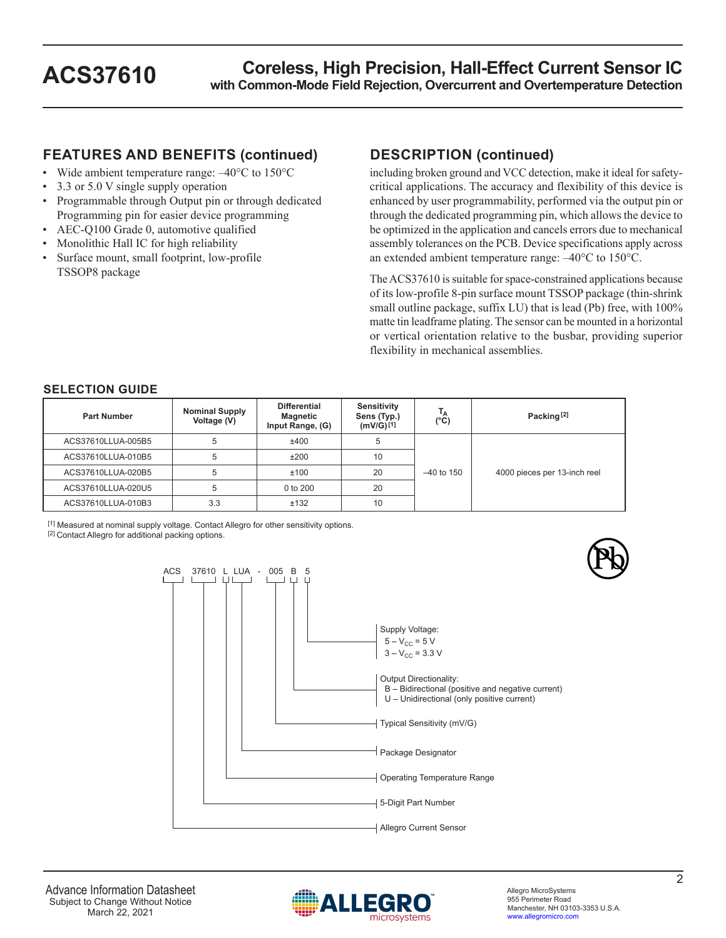## **FEATURES AND BENEFITS (continued) DESCRIPTION (continued)**

- Wide ambient temperature range:  $-40^{\circ}$ C to 150°C
- 3.3 or 5.0 V single supply operation
- Programmable through Output pin or through dedicated Programming pin for easier device programming
- AEC-Q100 Grade 0, automotive qualified
- Monolithic Hall IC for high reliability
- Surface mount, small footprint, low-profile TSSOP8 package

including broken ground and VCC detection, make it ideal for safetycritical applications. The accuracy and flexibility of this device is enhanced by user programmability, performed via the output pin or through the dedicated programming pin, which allows the device to be optimized in the application and cancels errors due to mechanical assembly tolerances on the PCB. Device specifications apply across an extended ambient temperature range: –40°C to 150°C.

The ACS37610 is suitable for space-constrained applications because of its low-profile 8-pin surface mount TSSOP package (thin-shrink small outline package, suffix LU) that is lead (Pb) free, with 100% matte tin leadframe plating. The sensor can be mounted in a horizontal or vertical orientation relative to the busbar, providing superior flexibility in mechanical assemblies.

### **SELECTION GUIDE**

| <b>Part Number</b> | <b>Nominal Supply</b><br>Voltage (V) | <b>Differential</b><br><b>Magnetic</b><br>Input Range, (G) | <b>Sensitivity</b><br>Sens (Typ.)<br>$(mV/G)^{[1]}$ | Ιд<br>$(^\circ \text{C})$ | Packing <sup>[2]</sup>       |
|--------------------|--------------------------------------|------------------------------------------------------------|-----------------------------------------------------|---------------------------|------------------------------|
| ACS37610LLUA-005B5 |                                      | ±400                                                       |                                                     |                           |                              |
| ACS37610LLUA-010B5 |                                      | ±200                                                       | 10                                                  |                           |                              |
| ACS37610LLUA-020B5 |                                      | ±100                                                       | 20                                                  | $-40$ to 150              | 4000 pieces per 13-inch reel |
| ACS37610LLUA-020U5 |                                      | $0$ to $200$                                               | 20                                                  |                           |                              |
| ACS37610LLUA-010B3 | 3.3                                  | ±132                                                       | 10                                                  |                           |                              |

[1] Measured at nominal supply voltage. Contact Allegro for other sensitivity options. [2] Contact Allegro for additional packing options.



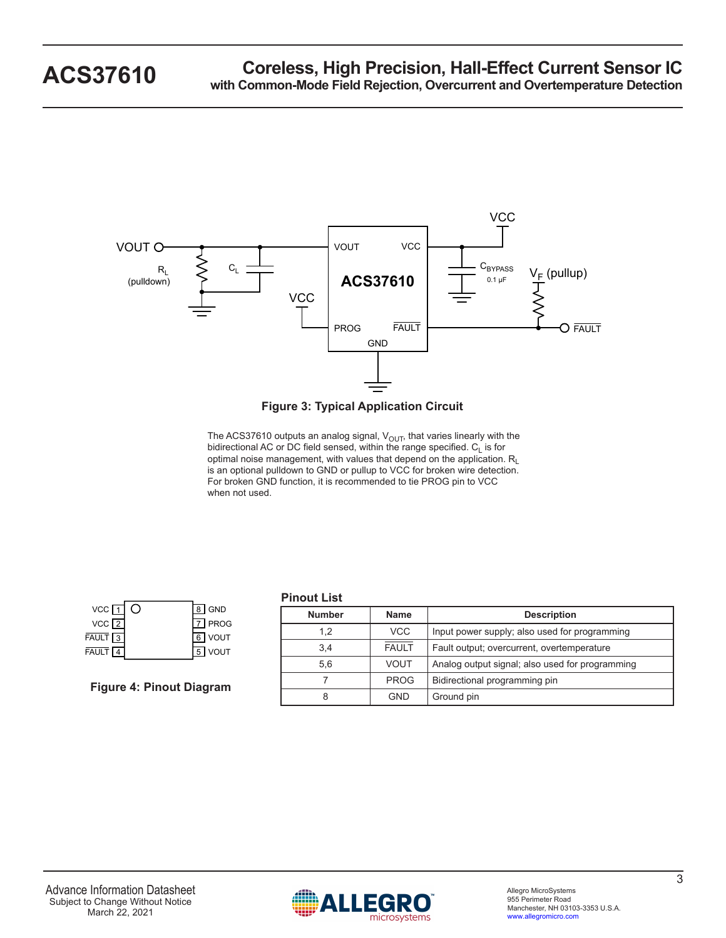

## **Figure 3: Typical Application Circuit**

The ACS37610 outputs an analog signal,  $V<sub>OUT</sub>$ , that varies linearly with the bidirectional AC or DC field sensed, within the range specified.  $C_L$  is for optimal noise management, with values that depend on the application.  $R_1$ is an optional pulldown to GND or pullup to VCC for broken wire detection. For broken GND function, it is recommended to tie PROG pin to VCC when not used.

| $VCC$ $\boxed{1}$  | <b>8 GND</b> |
|--------------------|--------------|
| $VCC$ $\boxed{2}$  | l PROG       |
| FAULT <sup>3</sup> | VOUT         |
| FAULT 4            | VOUT         |

**Figure 4: Pinout Diagram**

### **Pinout List**

| <b>Number</b> | <b>Name</b>  | <b>Description</b>                              |  |
|---------------|--------------|-------------------------------------------------|--|
| 1,2           | <b>VCC</b>   | Input power supply; also used for programming   |  |
| 3,4           | <b>FAULT</b> | Fault output; overcurrent, overtemperature      |  |
| 5,6           | VOUT         | Analog output signal; also used for programming |  |
|               | <b>PROG</b>  | Bidirectional programming pin                   |  |
|               | <b>GND</b>   | Ground pin                                      |  |

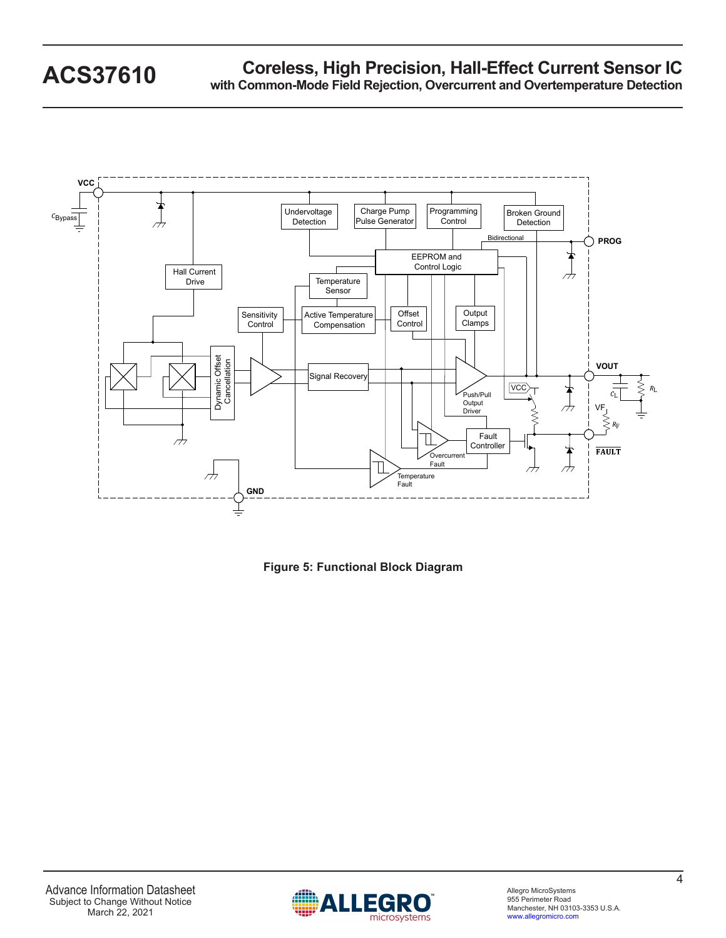# **Coreless, High Precision, Hall-Effect Current Sensor IC ACS37610 with Common-Mode Field Rejection, Overcurrent and Overtemperature Detection**



**Figure 5: Functional Block Diagram**